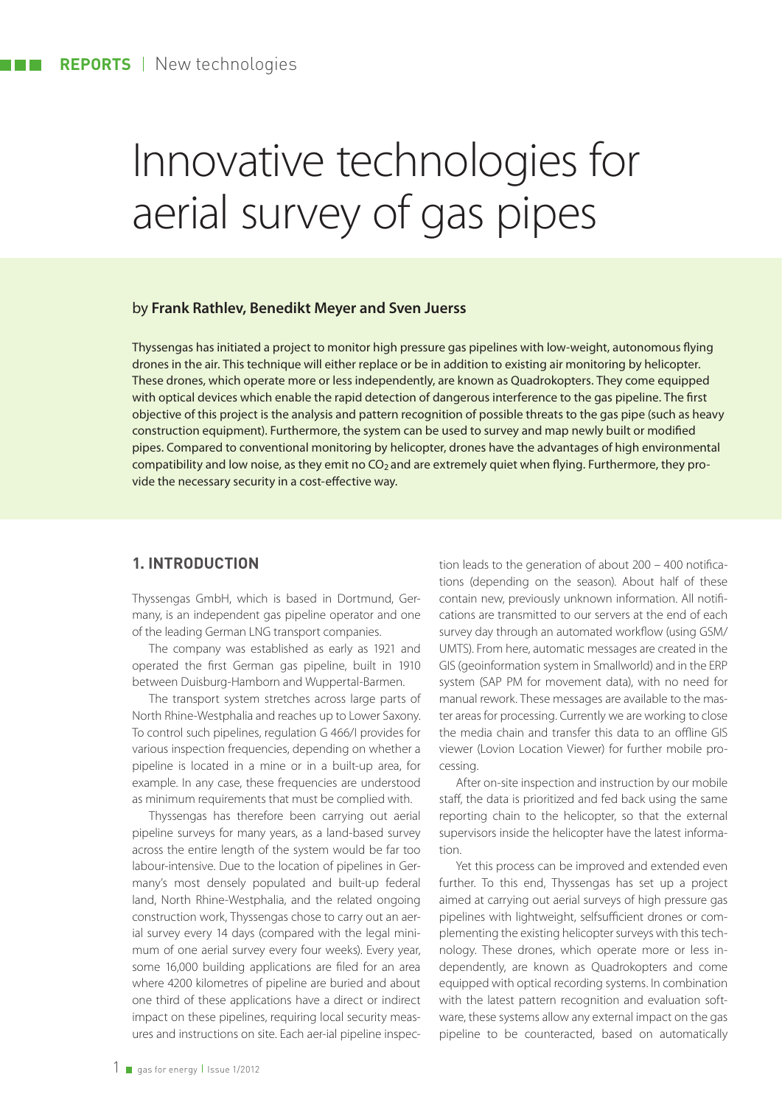# Innovative technologies for aerial survey of gas pipes

#### by **Frank Rathlev, Benedikt Meyer and Sven Juerss**

Thyssengas has initiated a project to monitor high pressure gas pipelines with low-weight, autonomous flying drones in the air. This technique will either replace or be in addition to existing air monitoring by helicopter. These drones, which operate more or less independently, are known as Quadrokopters. They come equipped with optical devices which enable the rapid detection of dangerous interference to the gas pipeline. The first objective of this project is the analysis and pattern recognition of possible threats to the gas pipe (such as heavy construction equipment). Furthermore, the system can be used to survey and map newly built or modified pipes. Compared to conventional monitoring by helicopter, drones have the advantages of high environmental compatibility and low noise, as they emit no CO<sub>2</sub> and are extremely quiet when flying. Furthermore, they provide the necessary security in a cost-effective way.

#### **1. INTRODUCTION**

Thyssengas GmbH, which is based in Dortmund, Germany, is an independent gas pipeline operator and one of the leading German LNG transport companies.

The company was established as early as 1921 and operated the first German gas pipeline, built in 1910 between Duisburg-Hamborn and Wuppertal-Barmen.

The transport system stretches across large parts of North Rhine-Westphalia and reaches up to Lower Saxony. To control such pipelines, regulation G 466/I provides for various inspection frequencies, depending on whether a pipeline is located in a mine or in a built-up area, for example. In any case, these frequencies are understood as minimum requirements that must be complied with.

Thyssengas has therefore been carrying out aerial pipeline surveys for many years, as a land-based survey across the entire length of the system would be far too labour-intensive. Due to the location of pipelines in Germany's most densely populated and built-up federal land, North Rhine-Westphalia, and the related ongoing construction work, Thyssengas chose to carry out an aerial survey every 14 days (compared with the legal minimum of one aerial survey every four weeks). Every year, some 16,000 building applications are filed for an area where 4200 kilometres of pipeline are buried and about one third of these applications have a direct or indirect impact on these pipelines, requiring local security measures and instructions on site. Each aer-ial pipeline inspec-

tion leads to the generation of about  $200 - 400$  notifications (depending on the season). About half of these contain new, previously unknown information. All notifications are transmitted to our servers at the end of each survey day through an automated workflow (using GSM/ UMTS). From here, automatic messages are created in the GIS (geoinformation system in Smallworld) and in the ERP system (SAP PM for movement data), with no need for manual rework. These messages are available to the master areas for processing. Currently we are working to close the media chain and transfer this data to an offline GIS viewer (Lovion Location Viewer) for further mobile processing.

After on-site inspection and instruction by our mobile staff, the data is prioritized and fed back using the same reporting chain to the helicopter, so that the external supervisors inside the helicopter have the latest information.

Yet this process can be improved and extended even further. To this end, Thyssengas has set up a project aimed at carrying out aerial surveys of high pressure gas pipelines with lightweight, selfsufficient drones or complementing the existing helicopter surveys with this technology. These drones, which operate more or less independently, are known as Quadrokopters and come equipped with optical recording systems. In combination with the latest pattern recognition and evaluation software, these systems allow any external impact on the gas pipeline to be counteracted, based on automatically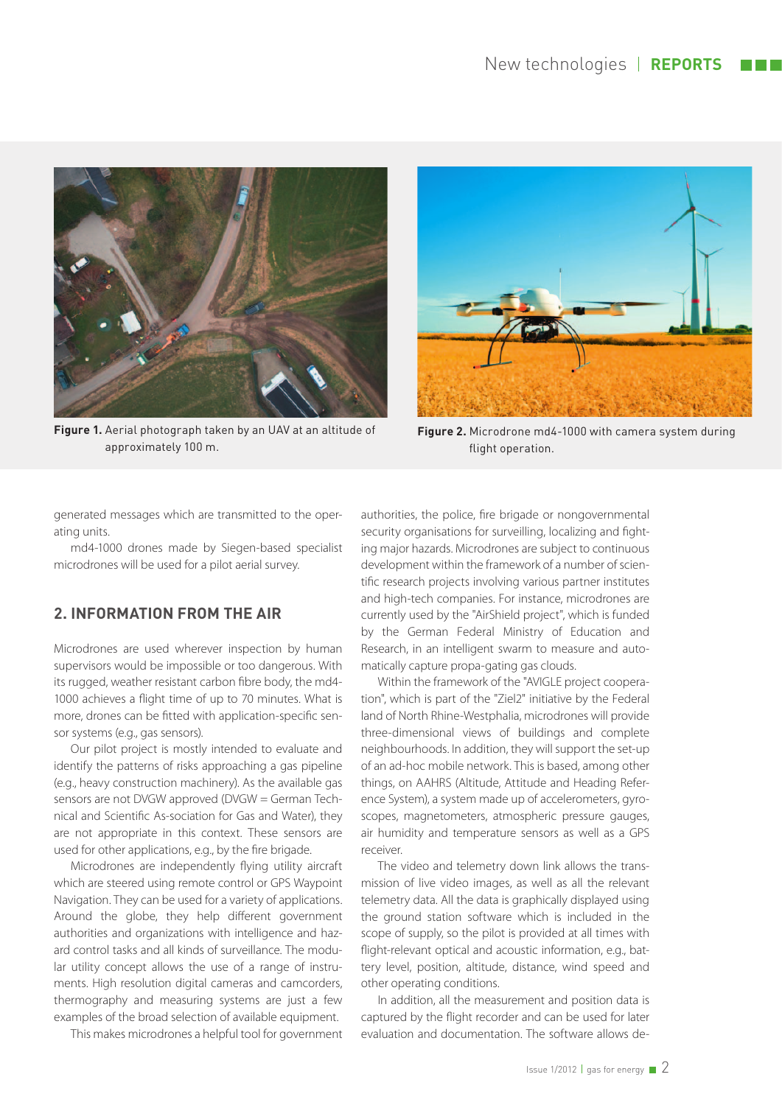

**Figure 1.** Aerial photograph taken by an UAV at an altitude of approximately 100 m.



**Figure 2.** Microdrone md4-1000 with camera system during flight operation.

generated messages which are transmitted to the operating units.

md4-1000 drones made by Siegen-based specialist microdrones will be used for a pilot aerial survey.

# **2. INFORMATION FROM THE AIR**

Microdrones are used wherever inspection by human supervisors would be impossible or too dangerous. With its rugged, weather resistant carbon fibre body, the md4-1000 achieves a flight time of up to 70 minutes. What is more, drones can be fitted with application-specific sensor systems (e.g., gas sensors).

Our pilot project is mostly intended to evaluate and identify the patterns of risks approaching a gas pipeline (e.g., heavy construction machinery). As the available gas sensors are not DVGW approved (DVGW = German Technical and Scientific As-sociation for Gas and Water), they are not appropriate in this context. These sensors are used for other applications, e.g., by the fire brigade.

Microdrones are independently flying utility aircraft which are steered using remote control or GPS Waypoint Navigation. They can be used for a variety of applications. Around the globe, they help different government authorities and organizations with intelligence and hazard control tasks and all kinds of surveillance. The modular utility concept allows the use of a range of instruments. High resolution digital cameras and camcorders, thermography and measuring systems are just a few examples of the broad selection of available equipment.

This makes microdrones a helpful tool for government

authorities, the police, fire brigade or nongovernmental security organisations for surveilling, localizing and fighting major hazards. Microdrones are subject to continuous development within the framework of a number of scientific research projects involving various partner institutes and high-tech companies. For instance, microdrones are currently used by the "AirShield project", which is funded by the German Federal Ministry of Education and Research, in an intelligent swarm to measure and automatically capture propa-gating gas clouds.

Within the framework of the "AVIGLE project cooperation", which is part of the "Ziel2" initiative by the Federal land of North Rhine-Westphalia, microdrones will provide three-dimensional views of buildings and complete neighbourhoods. In addition, they will support the set-up of an ad-hoc mobile network. This is based, among other things, on AAHRS (Altitude, Attitude and Heading Reference System), a system made up of accelerometers, gyroscopes, magnetometers, atmospheric pressure gauges, air humidity and temperature sensors as well as a GPS receiver.

The video and telemetry down link allows the transmission of live video images, as well as all the relevant telemetry data. All the data is graphically displayed using the ground station software which is included in the scope of supply, so the pilot is provided at all times with flight-relevant optical and acoustic information, e.g., battery level, position, altitude, distance, wind speed and other operating conditions.

In addition, all the measurement and position data is captured by the flight recorder and can be used for later evaluation and documentation. The software allows de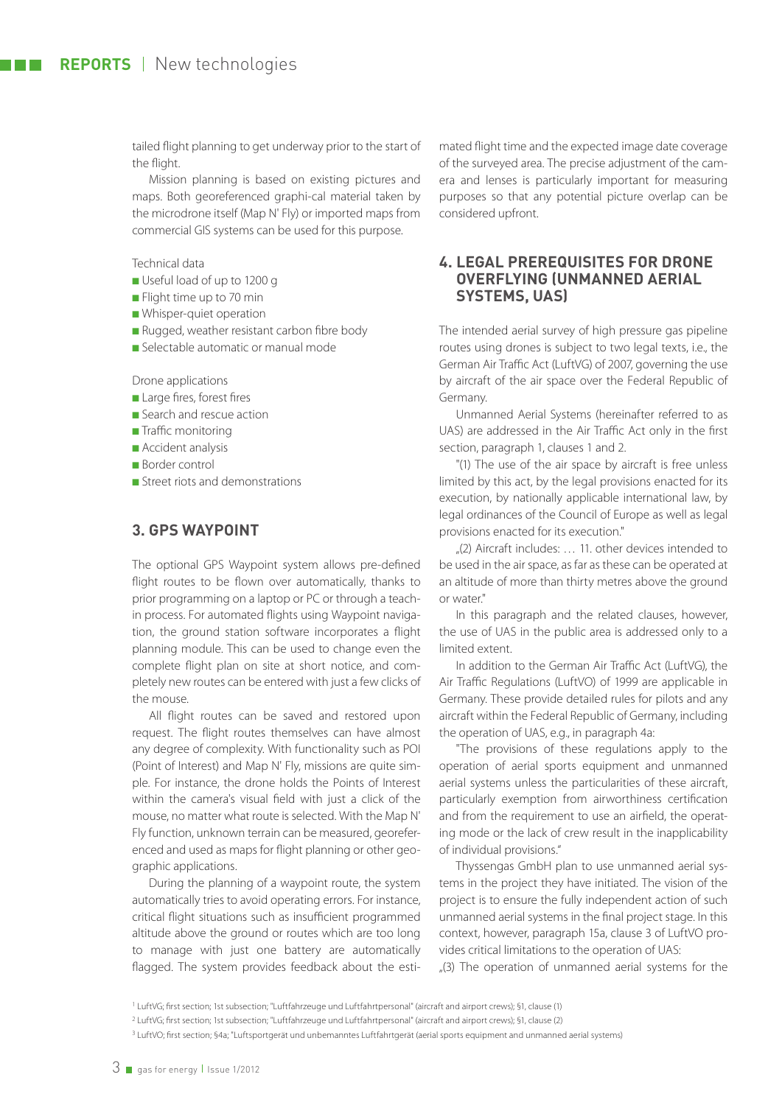tailed flight planning to get underway prior to the start of the flight.

Mission planning is based on existing pictures and maps. Both georeferenced graphi-cal material taken by the microdrone itself (Map N' Fly) or imported maps from commercial GIS systems can be used for this purpose.

Technical data

- Useful load of up to 1200 g
- Flight time up to 70 min
- Whisper-quiet operation
- Rugged, weather resistant carbon fibre body
- Selectable automatic or manual mode

Drone applications

- Large fires, forest fires
- Search and rescue action
- Traffic monitoring
- Accident analysis
- Border control
- Street riots and demonstrations

#### **3. GPS WAYPOINT**

The optional GPS Waypoint system allows pre-defined flight routes to be flown over automatically, thanks to prior programming on a laptop or PC or through a teachin process. For automated flights using Waypoint navigation, the ground station software incorporates a flight planning module. This can be used to change even the complete flight plan on site at short notice, and completely new routes can be entered with just a few clicks of the mouse.

All flight routes can be saved and restored upon request. The flight routes themselves can have almost any degree of complexity. With functionality such as POI (Point of Interest) and Map N' Fly, missions are quite simple. For instance, the drone holds the Points of Interest within the camera's visual field with just a click of the mouse, no matter what route is selected. With the Map N' Fly function, unknown terrain can be measured, georeferenced and used as maps for flight planning or other geographic applications.

During the planning of a waypoint route, the system automatically tries to avoid operating errors. For instance, critical flight situations such as insufficient programmed altitude above the ground or routes which are too long to manage with just one battery are automatically flagged. The system provides feedback about the estimated flight time and the expected image date coverage of the surveyed area. The precise adjustment of the camera and lenses is particularly important for measuring purposes so that any potential picture overlap can be considered upfront.

#### **4. LEGAL PREREQUISITES FOR DRONE OVERFLYING (UNMANNED AERIAL SYSTEMS, UAS)**

The intended aerial survey of high pressure gas pipeline routes using drones is subject to two legal texts, i.e., the German Air Traffic Act (LuftVG) of 2007, governing the use by aircraft of the air space over the Federal Republic of Germany.

Unmanned Aerial Systems (hereinafter referred to as UAS) are addressed in the Air Traffic Act only in the first section, paragraph 1, clauses 1 and 2.

"(1) The use of the air space by aircraft is free unless limited by this act, by the legal provisions enacted for its execution, by nationally applicable international law, by legal ordinances of the Council of Europe as well as legal provisions enacted for its execution."

 $(2)$  Aircraft includes:  $\dots$  11. other devices intended to be used in the air space, as far as these can be operated at an altitude of more than thirty metres above the ground or water."

In this paragraph and the related clauses, however, the use of UAS in the public area is addressed only to a limited extent.

In addition to the German Air Traffic Act (LuftVG), the Air Traffic Regulations (LuftVO) of 1999 are applicable in Germany. These provide detailed rules for pilots and any aircraft within the Federal Republic of Germany, including the operation of UAS, e.g., in paragraph 4a:

"The provisions of these regulations apply to the operation of aerial sports equipment and unmanned aerial systems unless the particularities of these aircraft, particularly exemption from airworthiness certification and from the requirement to use an airfield, the operating mode or the lack of crew result in the inapplicability of individual provisions."

Thyssengas GmbH plan to use unmanned aerial systems in the project they have initiated. The vision of the project is to ensure the fully independent action of such unmanned aerial systems in the final project stage. In this context, however, paragraph 15a, clause 3 of LuftVO provides critical limitations to the operation of UAS:

 $(3)$  The operation of unmanned aerial systems for the

<sup>&</sup>lt;sup>1</sup> LuftVG; first section; 1st subsection; "Luftfahrzeuge und Luftfahrtpersonal" (aircraft and airport crews); §1, clause (1)

<sup>&</sup>lt;sup>2</sup> LuftVG; first section; 1st subsection; "Luftfahrzeuge und Luftfahrtpersonal" (aircraft and airport crews); §1, clause (2)

<sup>3</sup> LuftVO; first section; §4a; "Luftsportgerät und unbemanntes Luftfahrtgerät (aerial sports equipment and unmanned aerial systems)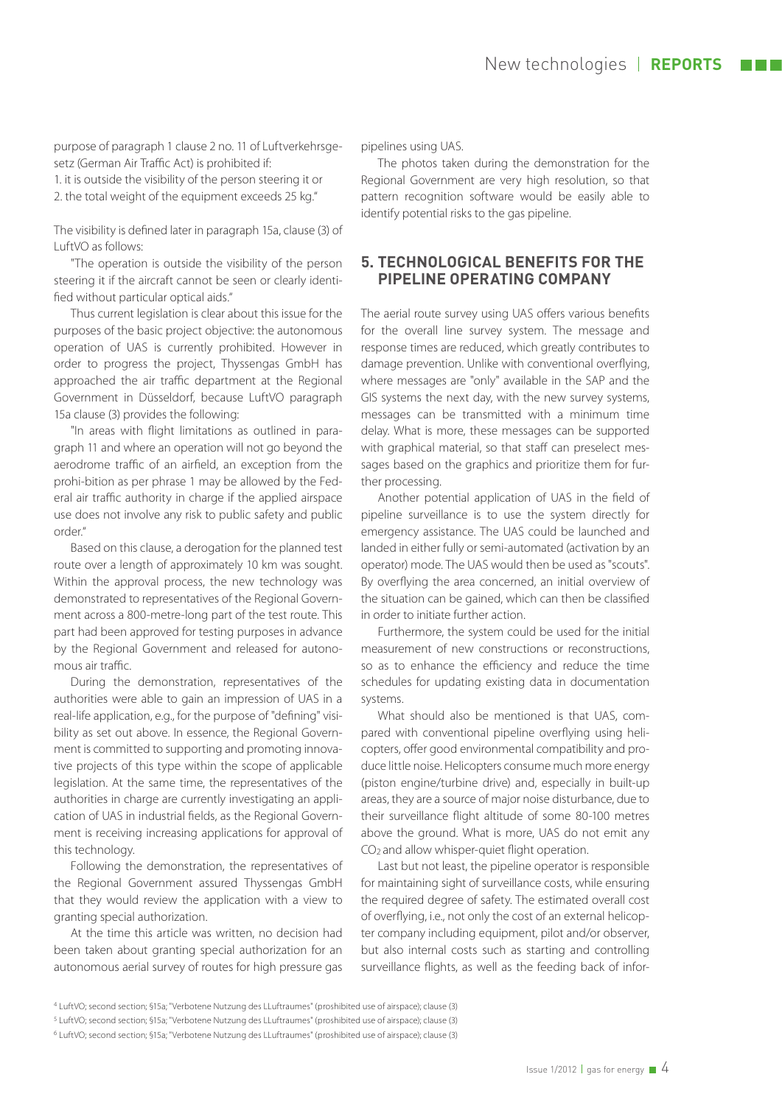purpose of paragraph 1 clause 2 no. 11 of Luftverkehrsgesetz (German Air Traffic Act) is prohibited if: 1. it is outside the visibility of the person steering it or 2. the total weight of the equipment exceeds 25 kg."

The visibility is defined later in paragraph 15a, clause (3) of LuftVO as follows:

"The operation is outside the visibility of the person steering it if the aircraft cannot be seen or clearly identified without particular optical aids."

Thus current legislation is clear about this issue for the purposes of the basic project objective: the autonomous operation of UAS is currently prohibited. However in order to progress the project, Thyssengas GmbH has approached the air traffic department at the Regional Government in Düsseldorf, because LuftVO paragraph 15a clause (3) provides the following:

"In areas with flight limitations as outlined in paragraph 11 and where an operation will not go beyond the aerodrome traffic of an airfield, an exception from the prohi-bition as per phrase 1 may be allowed by the Federal air traffic authority in charge if the applied airspace use does not involve any risk to public safety and public order."

Based on this clause, a derogation for the planned test route over a length of approximately 10 km was sought. Within the approval process, the new technology was demonstrated to representatives of the Regional Government across a 800-metre-long part of the test route. This part had been approved for testing purposes in advance by the Regional Government and released for autonomous air traffic.

During the demonstration, representatives of the authorities were able to gain an impression of UAS in a real-life application, e.g., for the purpose of "defining" visibility as set out above. In essence, the Regional Government is committed to supporting and promoting innovative projects of this type within the scope of applicable legislation. At the same time, the representatives of the authorities in charge are currently investigating an application of UAS in industrial fields, as the Regional Government is receiving increasing applications for approval of this technology.

Following the demonstration, the representatives of the Regional Government assured Thyssengas GmbH that they would review the application with a view to granting special authorization.

At the time this article was written, no decision had been taken about granting special authorization for an autonomous aerial survey of routes for high pressure gas pipelines using UAS.

The photos taken during the demonstration for the Regional Government are very high resolution, so that pattern recognition software would be easily able to identify potential risks to the gas pipeline.

### **5. TECHNOLOGICAL BENEFITS FOR THE PIPELINE OPERATING COMPANY**

The aerial route survey using UAS offers various benefits for the overall line survey system. The message and response times are reduced, which greatly contributes to damage prevention. Unlike with conventional overflying, where messages are "only" available in the SAP and the GIS systems the next day, with the new survey systems, messages can be transmitted with a minimum time delay. What is more, these messages can be supported with graphical material, so that staff can preselect messages based on the graphics and prioritize them for further processing.

Another potential application of UAS in the field of pipeline surveillance is to use the system directly for emergency assistance. The UAS could be launched and landed in either fully or semi-automated (activation by an operator) mode. The UAS would then be used as "scouts". By overflying the area concerned, an initial overview of the situation can be gained, which can then be classified in order to initiate further action.

Furthermore, the system could be used for the initial measurement of new constructions or reconstructions, so as to enhance the efficiency and reduce the time schedules for updating existing data in documentation systems.

What should also be mentioned is that UAS, compared with conventional pipeline overflying using helicopters, offer good environmental compatibility and produce little noise. Helicopters consume much more energy (piston engine/turbine drive) and, especially in built-up areas, they are a source of major noise disturbance, due to their surveillance flight altitude of some 80-100 metres above the ground. What is more, UAS do not emit any CO<sub>2</sub> and allow whisper-quiet flight operation.

Last but not least, the pipeline operator is responsible for maintaining sight of surveillance costs, while ensuring the required degree of safety. The estimated overall cost of overflying, i.e., not only the cost of an external helicopter company including equipment, pilot and/or observer, but also internal costs such as starting and controlling surveillance flights, as well as the feeding back of infor-

<sup>4</sup> LuftVO; second section; §15a; "Verbotene Nutzung des LLuftraumes" (proshibited use of airspace); clause (3)

<sup>5</sup> LuftVO; second section; §15a; "Verbotene Nutzung des LLuftraumes" (proshibited use of airspace); clause (3)

<sup>6</sup> LuftVO; second section; §15a; "Verbotene Nutzung des LLuftraumes" (proshibited use of airspace); clause (3)